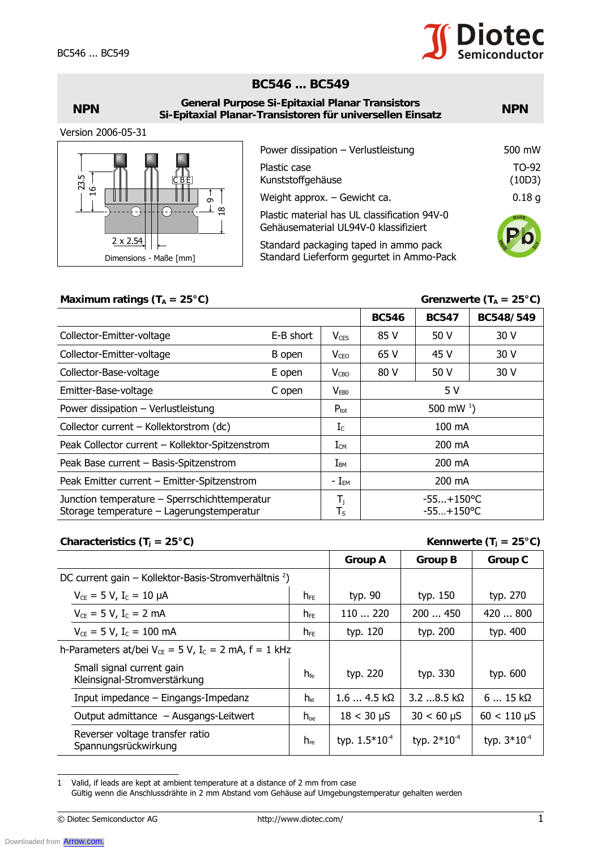

## **BC546 ... BC549**

| <b>NPN</b>         | <b>General Purpose Si-Epitaxial Planar Transistors</b><br>Si-Epitaxial Planar-Transistoren für universellen Einsatz |                                                                                       |                 |
|--------------------|---------------------------------------------------------------------------------------------------------------------|---------------------------------------------------------------------------------------|-----------------|
| Version 2006-05-31 |                                                                                                                     |                                                                                       |                 |
|                    |                                                                                                                     | Power dissipation - Verlustleistung                                                   | 500 mW          |
| 23.5<br>СBE        |                                                                                                                     | Plastic case<br>Kunststoffgehäuse                                                     | TO-92<br>(10D3) |
| G<br>−             | $\sigma$                                                                                                            | Weight approx. - Gewicht ca.                                                          | 0.18g           |
|                    | $\frac{8}{18}$                                                                                                      | Plastic material has UL classification 94V-0<br>Gehäusematerial UL94V-0 klassifiziert | RoHS            |
| $2 \times 2.54$    | Dimensions - Maße [mm]                                                                                              | Standard packaging taped in ammo pack<br>Standard Lieferform gegurtet in Ammo-Pack    |                 |

## Maximum ratings  $(T_A = 25^{\circ}C)$  Grenzwerte  $(T_A = 25^{\circ}C)$

| $\bigodot$<br>$\frac{8}{18}$<br>∩                                                                                                                                                                                                                  |                 |                           |                                           | 0.18 <sub>g</sub><br>Weight approx. $-$ Gewicht ca. |                                    |  |  |
|----------------------------------------------------------------------------------------------------------------------------------------------------------------------------------------------------------------------------------------------------|-----------------|---------------------------|-------------------------------------------|-----------------------------------------------------|------------------------------------|--|--|
| Plastic material has UL classification 94V-0<br>Gehäusematerial UL94V-0 klassifiziert                                                                                                                                                              |                 |                           |                                           |                                                     |                                    |  |  |
| $2 \times 2.54$<br>Standard packaging taped in ammo pack                                                                                                                                                                                           |                 |                           |                                           |                                                     |                                    |  |  |
| Dimensions - Maße [mm]                                                                                                                                                                                                                             |                 |                           | Standard Lieferform gegurtet in Ammo-Pack |                                                     |                                    |  |  |
|                                                                                                                                                                                                                                                    |                 |                           |                                           |                                                     |                                    |  |  |
| Maximum ratings ( $T_A = 25^{\circ}C$ )                                                                                                                                                                                                            |                 |                           |                                           |                                                     | Grenzwerte ( $T_A = 25^{\circ}C$ ) |  |  |
|                                                                                                                                                                                                                                                    |                 |                           | <b>BC546</b>                              | <b>BC547</b>                                        | BC548/549                          |  |  |
| Collector-Emitter-voltage<br>E-B short                                                                                                                                                                                                             |                 | $V_{CES}$                 | 85 V                                      | 50 V                                                | 30 V                               |  |  |
| Collector-Emitter-voltage<br>B open                                                                                                                                                                                                                |                 | $V_{CEO}$                 | 65 V                                      | 45 V                                                | 30 V                               |  |  |
| Collector-Base-voltage<br>E open                                                                                                                                                                                                                   |                 | $V_{CBO}$                 | 80 V                                      | 50 V                                                | 30 V                               |  |  |
| Emitter-Base-voltage<br>C open                                                                                                                                                                                                                     |                 |                           | 5 V                                       |                                                     |                                    |  |  |
| Power dissipation - Verlustleistung                                                                                                                                                                                                                |                 | $P_{\text{tot}}$          | 500 mW $^{1}$ )                           |                                                     |                                    |  |  |
| Collector current - Kollektorstrom (dc)                                                                                                                                                                                                            |                 | $I_c$                     | 100 mA                                    |                                                     |                                    |  |  |
| Peak Collector current - Kollektor-Spitzenstrom                                                                                                                                                                                                    |                 |                           | 200 mA                                    |                                                     |                                    |  |  |
| Peak Base current - Basis-Spitzenstrom                                                                                                                                                                                                             |                 | $I_{\texttt{BM}}$         | 200 mA                                    |                                                     |                                    |  |  |
| Peak Emitter current - Emitter-Spitzenstrom                                                                                                                                                                                                        |                 |                           | 200 mA                                    |                                                     |                                    |  |  |
| Junction temperature - Sperrschichttemperatur<br>Storage temperature - Lagerungstemperatur                                                                                                                                                         |                 |                           | $-55+150$ °C<br>$-55+150$ °C              |                                                     |                                    |  |  |
| Characteristics (T <sub>j</sub> = 25°C)                                                                                                                                                                                                            |                 |                           |                                           |                                                     | Kennwerte $(T_i = 25^{\circ}C)$    |  |  |
|                                                                                                                                                                                                                                                    |                 |                           | <b>Group A</b>                            | <b>Group B</b>                                      | <b>Group C</b>                     |  |  |
| DC current gain – Kollektor-Basis-Stromverhältnis <sup>2</sup> )                                                                                                                                                                                   |                 |                           |                                           |                                                     |                                    |  |  |
| $V_{CE} = 5 V$ , $I_C = 10 \mu A$                                                                                                                                                                                                                  | $h_{FE}$        |                           | typ. 90                                   | typ. 150                                            | typ. 270                           |  |  |
| $V_{CE} = 5 V$ , I <sub>C</sub> = 2 mA<br>$h_{FE}$                                                                                                                                                                                                 |                 |                           | 110  220                                  | 200  450                                            | 420  800                           |  |  |
| $V_{CE} = 5 V, I_C = 100 \text{ mA}$<br>$h_{FE}$                                                                                                                                                                                                   |                 |                           | typ. 120                                  | typ. 200                                            | typ. 400                           |  |  |
| h-Parameters at/bei $V_{CE} = 5 V$ , I <sub>c</sub> = 2 mA, f = 1 kHz                                                                                                                                                                              |                 |                           |                                           |                                                     |                                    |  |  |
| Small signal current gain<br>Kleinsignal-Stromverstärkung                                                                                                                                                                                          | $h_{\text{fe}}$ | typ. 220                  |                                           | typ. 330                                            | typ. 600                           |  |  |
| Input impedance - Eingangs-Impedanz                                                                                                                                                                                                                | $h_{ie}$        | $1.64.5 k\Omega$          |                                           | 3.2 8.5 kΩ                                          | $615k\Omega$                       |  |  |
| Output admittance - Ausgangs-Leitwert                                                                                                                                                                                                              | $h_{oe}$        | $18 < 30 \mu S$           |                                           | $30 < 60 \mu S$                                     | $60 < 110 \mu S$                   |  |  |
| Reverser voltage transfer ratio<br>Spannungsrückwirkung                                                                                                                                                                                            | $h_{\text{re}}$ | typ. 1.5*10 <sup>-4</sup> |                                           | typ. $2*10^{-4}$                                    | typ. $3*10^{-4}$                   |  |  |
| Valid, if leads are kept at ambient temperature at a distance of 2 mm from case<br>1<br>Gültig wenn die Anschlussdrähte in 2 mm Abstand vom Gehäuse auf Umgebungstemperatur gehalten werden<br>© Diotec Semiconductor AG<br>http://www.diotec.com/ |                 |                           |                                           |                                                     |                                    |  |  |

## **Characteristics (T<sub>j</sub> = 25°C) Kennwerte (T<sub>j</sub> = 25°C)**

|                                                                       |                 | <b>Group A</b>            | <b>Group B</b>   | <b>Group C</b>   |
|-----------------------------------------------------------------------|-----------------|---------------------------|------------------|------------------|
| DC current gain – Kollektor-Basis-Stromverhältnis <sup>2</sup> )      |                 |                           |                  |                  |
| $V_{CE} = 5 V$ , $I_C = 10 \mu A$                                     | $h_{FE}$        | typ. 90                   | typ. 150         | typ. 270         |
| $V_{CE} = 5 V, I_C = 2 mA$                                            | $h_{FE}$        | 110220                    | 200450           | 420800           |
| $V_{CE} = 5 V$ , I <sub>C</sub> = 100 mA                              | $h_{FE}$        | typ. 120                  | typ. 200         | typ. 400         |
| h-Parameters at/bei $V_{CE} = 5 V$ , I <sub>c</sub> = 2 mA, f = 1 kHz |                 |                           |                  |                  |
| Small signal current gain<br>Kleinsignal-Stromverstärkung             | $h_{\text{fe}}$ | typ. 220                  | typ. 330         | typ. 600         |
| Input impedance $-$ Eingangs-Impedanz                                 | $h_{\text{ie}}$ | $1.64.5 k\Omega$          | $3.2$ 8.5 kΩ     | $615k\Omega$     |
| Output admittance - Ausgangs-Leitwert                                 | $h_{oe}$        | $18 < 30 \mu S$           | $30 < 60 \mu S$  | $60 < 110 \mu S$ |
| Reverser voltage transfer ratio<br>Spannungsrückwirkung               | $h_{\text{re}}$ | typ. 1.5*10 <sup>-4</sup> | typ. $2*10^{-4}$ | typ. $3*10^{-4}$ |

<sup>1</sup> Valid, if leads are kept at ambient temperature at a distance of 2 mm from case Gültig wenn die Anschlussdrähte in 2 mm Abstand vom Gehäuse auf Umgebungstemperatur gehalten werden